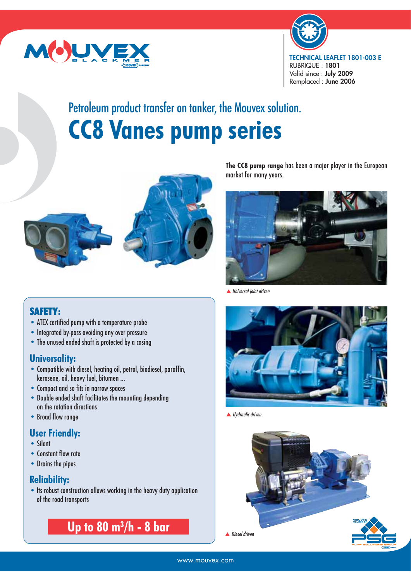



# Petroleum product transfer on tanker, the Mouvex solution. **CC8 Vanes pump series**





## SAFETY**:**

- ATEX certified pump with a temperature probe
- Integrated by-pass avoiding any over pressure
- The unused ended shaft is protected by a casing

#### **Universality:**

- Compatible with diesel, heating oil, petrol, biodiesel, paraffin, kerosene, oil, heavy fuel, bitumen …
- Compact and so fits in narrow spaces
- Double ended shaft facilitates the mounting depending on the rotation directions
- Broad flow range

#### **User Friendly:**

- Silent
- Constant flow rate
- Drains the pipes

#### **Reliability:**

• Its robust construction allows working in the heavy duty application of the road transports

**Up to 80 m3 /h - 8 bar**

**The CC8 pump range** has been a major player in the European market for many years.



▲ Universal joint driven



▲ Hydraulic driven

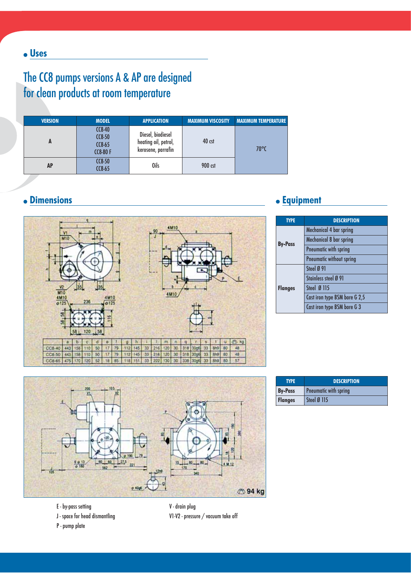## The CC8 pumps versions A & AP are designed for clean products at room temperature

| <b>VERSION</b> | <b>MODEL</b>                                   | <b>APPLICATION</b>                                              | <b>MAXIMUM VISCOSITY</b> | <b>MAXIMUM TEMPERATURE</b> |
|----------------|------------------------------------------------|-----------------------------------------------------------------|--------------------------|----------------------------|
| n              | $CC8-40$<br>$CC8-50$<br>$CC8-65$<br>$CC8-80$ F | Diesel, biodiesel<br>heating oil, petrol,<br>kerosene, parrafin | $40$ cst                 | $70^{\circ}$ C             |
| <b>AP</b>      | $CC8-50$<br>$CC8-65$                           | Oils                                                            | 900 cst                  |                            |



#### **Dimensions Equipment**

| <b>TYPE</b>    | <b>DESCRIPTION</b>            |
|----------------|-------------------------------|
| <b>By-Pass</b> | Mechanical 4 bar spring       |
|                | Mechanical 8 bar spring       |
|                | Pneumatic with spring         |
|                | Pneumatic without spring      |
|                | Steel Ø 91                    |
|                | Stainless steel Ø 91          |
| <b>Flanges</b> | Steel Ø 115                   |
|                | Cast iron type BSM bore G 2,5 |
|                | Cast iron type BSM bore G 3   |



| <b>TYPE</b>    | <b>DESCRIPTION</b>    |  |  |  |
|----------------|-----------------------|--|--|--|
| <b>By-Pass</b> | Pneumatic with spring |  |  |  |
| <b>Flanges</b> | Steel Ø 115           |  |  |  |

- E by-pass setting
- J space for head dismantling

P - pump plate

V - drain plug V1-V2 - pressure / vacuum take off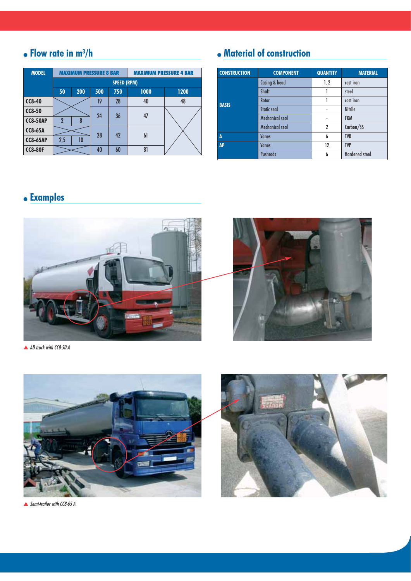#### **Flow rate in m3 /h**

| <b>MODEL</b>    |                          | <b>MAXIMUM PRESSURE 8 BAR</b> |          |     | <b>MAXIMUM PRESSURE 4 BAR</b> |      |  |  |
|-----------------|--------------------------|-------------------------------|----------|-----|-------------------------------|------|--|--|
|                 |                          | <b>SPEED (RPM)</b>            |          |     |                               |      |  |  |
|                 | 50                       | 200                           | 500      | 750 | 1000                          | 1200 |  |  |
| $CC8-40$        |                          |                               | 19       | 28  | 40                            | 48   |  |  |
| $CC8-50$        |                          |                               |          | 36  | 47                            |      |  |  |
| <b>CC8-50AP</b> | $\overline{\phantom{a}}$ | 8                             | 24       |     |                               |      |  |  |
| <b>CC8-65A</b>  |                          |                               | 28<br>42 |     |                               |      |  |  |
| <b>CC8-65AP</b> | 2,5                      | 10                            |          |     | 61                            |      |  |  |
| <b>CC8-80F</b>  |                          |                               | 40       | 60  | 81                            |      |  |  |

## **Material of construction**

| <b>CONSTRUCTION</b> | <b>COMPONENT</b>   | <b>QUANTITY</b> | <b>MATERIAL</b>       |
|---------------------|--------------------|-----------------|-----------------------|
|                     | Casing & head      | 1, 2            | cast iron             |
|                     | Shaft              |                 | steel                 |
|                     | Rotor              |                 | cast iron             |
| <b>BASIS</b>        | <b>Static seal</b> | $\overline{a}$  | <b>Nitrile</b>        |
|                     | Mechanical seal    | $\overline{a}$  | <b>FKM</b>            |
|                     | Mechanical seal    | $\overline{2}$  | Carbon/SS             |
| A                   | <b>Vanes</b>       | 6               | <b>TVR</b>            |
| <b>AP</b>           | <b>Vanes</b>       |                 | <b>TVP</b>            |
|                     | <b>Pushrods</b>    | 6               | <b>Hardened steel</b> |

## **Examples**



▲ AD truck with CC8-50 A



▲ Semi-trailor with CC8-65 A